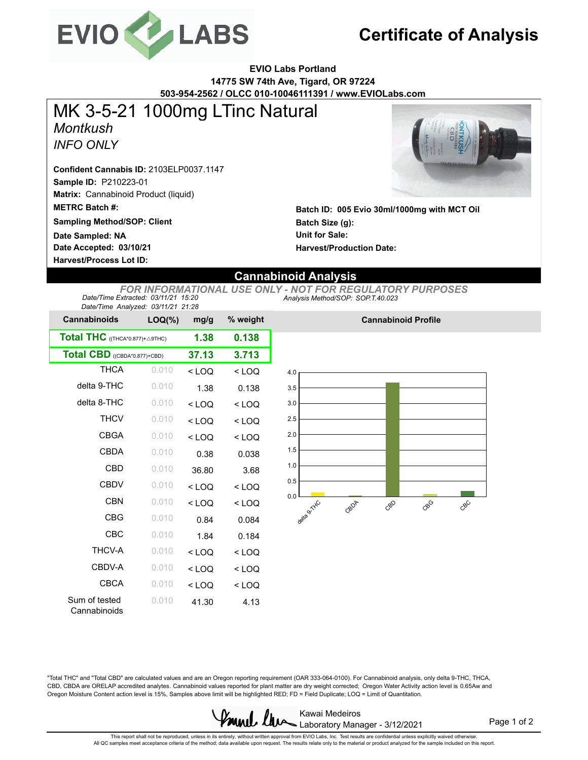

# **Certificate of Analysis**

**EVIO Labs Portland 14775 SW 74th Ave, Tigard, OR 97224 503-954-2562 / OLCC 010-10046111391 / www.EVIOLabs.com**

### *Montkush INFO ONLY* MK 3-5-21 1000mg LTinc Natural

**Sample ID:** P210223-01 **Confident Cannabis ID:** 2103ELP0037.1147

**Matrix:** Cannabinoid Product (liquid)

**METRC Batch #:** 

**Sampling Method/SOP: Client**

**Date Accepted: 03/10/21 Date Sampled: NA**

**Harvest/Process Lot ID:** 



**Batch ID: 005 Evio 30ml/1000mg with MCT Oil Batch Size (g): Unit for Sale: Harvest/Production Date:** 

**Cannabinoid Profile**

### **Cannabinoid Analysis**

*Analysis Method/SOP: SOP.T.40.023 FOR INFORMATIONAL USE ONLY - NOT FOR REGULATORY PURPOSES Date/Time Extracted: 03/11/21 15:20 Date/Time Analyzed: 03/11/21 21:28*

| Date/Time Analyzed. 03/11/21 21.20<br><b>Cannabinoids</b> | $LOQ(\%)$ | mg/g    | % weight |
|-----------------------------------------------------------|-----------|---------|----------|
| Total THC ((THCA*0.877)+ A9THC)                           | 1.38      | 0.138   |          |
| Total CBD ((CBDA*0.877)+CBD)                              | 37.13     | 3.713   |          |
| <b>THCA</b>                                               | 0.010     | $<$ LOQ | $<$ LOQ  |
| delta 9-THC                                               | 0.010     | 1.38    | 0.138    |
| delta 8-THC                                               | 0.010     | $<$ LOQ | $<$ LOQ  |
| <b>THCV</b>                                               | 0.010     | $<$ LOQ | $<$ LOQ  |
| <b>CBGA</b>                                               | 0.010     | $<$ LOQ | $<$ LOQ  |
| CBDA                                                      | 0.010     | 0.38    | 0.038    |
| CBD                                                       | 0.010     | 36.80   | 3.68     |
| <b>CBDV</b>                                               | 0.010     | $<$ LOQ | $<$ LOQ  |
| <b>CBN</b>                                                | 0.010     | $<$ LOQ | $<$ LOQ  |
| <b>CBG</b>                                                | 0.010     | 0.84    | 0.084    |
| CBC                                                       | 0.010     | 1.84    | 0.184    |
| <b>THCV-A</b>                                             | 0.010     | $<$ LOQ | $<$ LOQ  |
| CBDV-A                                                    | 0.010     | $<$ LOQ | $<$ LOQ  |
| CBCA                                                      | 0.010     | $<$ LOQ | $<$ LOQ  |
| Sum of tested<br>Cannabinoids                             | 0.010     | 41.30   | 4.13     |



"Total THC" and "Total CBD" are calculated values and are an Oregon reporting requirement (OAR 333-064-0100). For Cannabinoid analysis, only delta 9-THC, THCA, CBD, CBDA are ORELAP accredited analytes. Cannabinoid values reported for plant matter are dry weight corrected; Oregon Water Activity action level is 0.65Aw and Oregon Moisture Content action level is 15%, Samples above limit will be highlighted RED; FD = Field Duplicate; LOQ = Limit of Quantitation.



Page 1 of 2

This repot shall not be reproduced, unless in its entirety, without written approval from EVIO Labs, Inc. Test results are confidential unless explicitly waived otherwise.<br>All QC samples meet acceptance criteria of the met